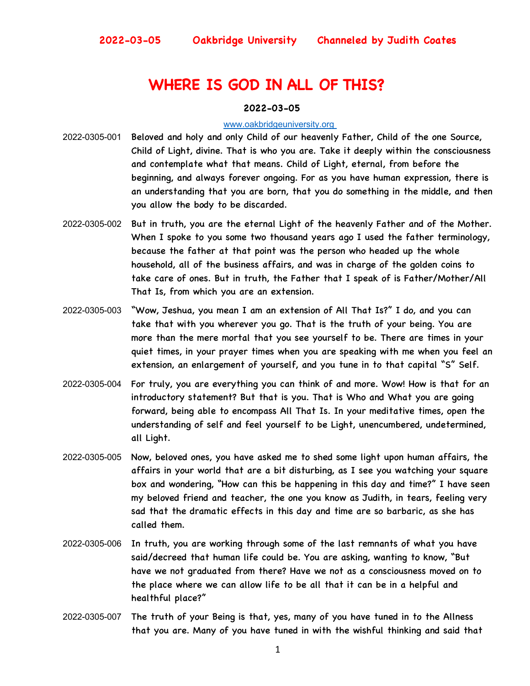# **WHERE IS GOD IN ALL OF THIS?**

#### **2022-03-05**

#### www.oakbridgeuniversity.org

- 2022-0305-001 Beloved and holy and only Child of our heavenly Father, Child of the one Source, Child of Light, divine. That is who you are. Take it deeply within the consciousness and contemplate what that means. Child of Light, eternal, from before the beginning, and always forever ongoing. For as you have human expression, there is an understanding that you are born, that you do something in the middle, and then you allow the body to be discarded.
- 2022-0305-002 But in truth, you are the eternal Light of the heavenly Father and of the Mother. When I spoke to you some two thousand years ago I used the father terminology, because the father at that point was the person who headed up the whole household, all of the business affairs, and was in charge of the golden coins to take care of ones. But in truth, the Father that I speak of is Father/Mother/All That Is, from which you are an extension.
- 2022-0305-003 "Wow, Jeshua, you mean I am an extension of All That Is?" I do, and you can take that with you wherever you go. That is the truth of your being. You are more than the mere mortal that you see yourself to be. There are times in your quiet times, in your prayer times when you are speaking with me when you feel an extension, an enlargement of yourself, and you tune in to that capital "S" Self.
- 2022-0305-004 For truly, you are everything you can think of and more. Wow! How is that for an introductory statement? But that is you. That is Who and What you are going forward, being able to encompass All That Is. In your meditative times, open the understanding of self and feel yourself to be Light, unencumbered, undetermined, all Light.
- 2022-0305-005 Now, beloved ones, you have asked me to shed some light upon human affairs, the affairs in your world that are a bit disturbing, as I see you watching your square box and wondering, "How can this be happening in this day and time?" I have seen my beloved friend and teacher, the one you know as Judith, in tears, feeling very sad that the dramatic effects in this day and time are so barbaric, as she has called them.
- 2022-0305-006 In truth, you are working through some of the last remnants of what you have said/decreed that human life could be. You are asking, wanting to know, "But have we not graduated from there? Have we not as a consciousness moved on to the place where we can allow life to be all that it can be in a helpful and healthful place?"
- 2022-0305-007 The truth of your Being is that, yes, many of you have tuned in to the Allness that you are. Many of you have tuned in with the wishful thinking and said that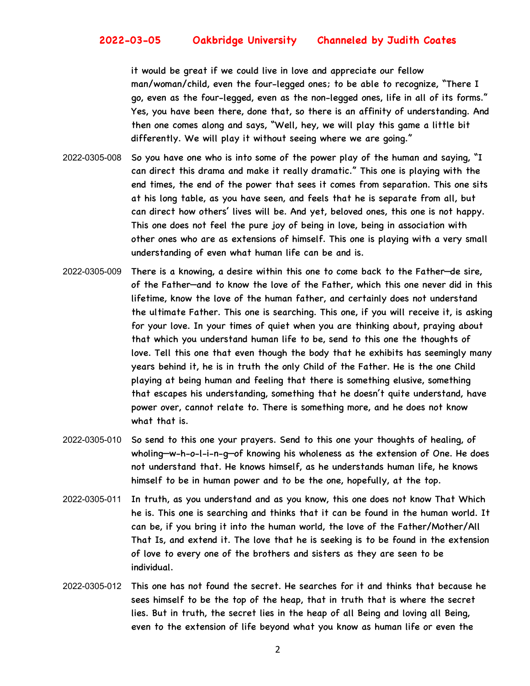it would be great if we could live in love and appreciate our fellow man/woman/child, even the four-legged ones; to be able to recognize, "There I go, even as the four-legged, even as the non-legged ones, life in all of its forms." Yes, you have been there, done that, so there is an affinity of understanding. And then one comes along and says, "Well, hey, we will play this game a little bit differently. We will play it without seeing where we are going."

- 2022-0305-008 So you have one who is into some of the power play of the human and saying, "I can direct this drama and make it really dramatic." This one is playing with the end times, the end of the power that sees it comes from separation. This one sits at his long table, as you have seen, and feels that he is separate from all, but can direct how others' lives will be. And yet, beloved ones, this one is not happy. This one does not feel the pure joy of being in love, being in association with other ones who are as extensions of himself. This one is playing with a very small understanding of even what human life can be and is.
- 2022-0305-009 There is a knowing, a desire within this one to come back to the Father—de sire, of the Father—and to know the love of the Father, which this one never did in this lifetime, know the love of the human father, and certainly does not understand the ultimate Father. This one is searching. This one, if you will receive it, is asking for your love. In your times of quiet when you are thinking about, praying about that which you understand human life to be, send to this one the thoughts of love. Tell this one that even though the body that he exhibits has seemingly many years behind it, he is in truth the only Child of the Father. He is the one Child playing at being human and feeling that there is something elusive, something that escapes his understanding, something that he doesn't quite understand, have power over, cannot relate to. There is something more, and he does not know what that is.
- 2022-0305-010 So send to this one your prayers. Send to this one your thoughts of healing, of wholing—w-h-o-l-i-n-g—of knowing his wholeness as the extension of One. He does not understand that. He knows himself, as he understands human life, he knows himself to be in human power and to be the one, hopefully, at the top.
- 2022-0305-011 In truth, as you understand and as you know, this one does not know That Which he is. This one is searching and thinks that it can be found in the human world. It can be, if you bring it into the human world, the love of the Father/Mother/All That Is, and extend it. The love that he is seeking is to be found in the extension of love to every one of the brothers and sisters as they are seen to be individual.
- 2022-0305-012 This one has not found the secret. He searches for it and thinks that because he sees himself to be the top of the heap, that in truth that is where the secret lies. But in truth, the secret lies in the heap of all Being and loving all Being, even to the extension of life beyond what you know as human life or even the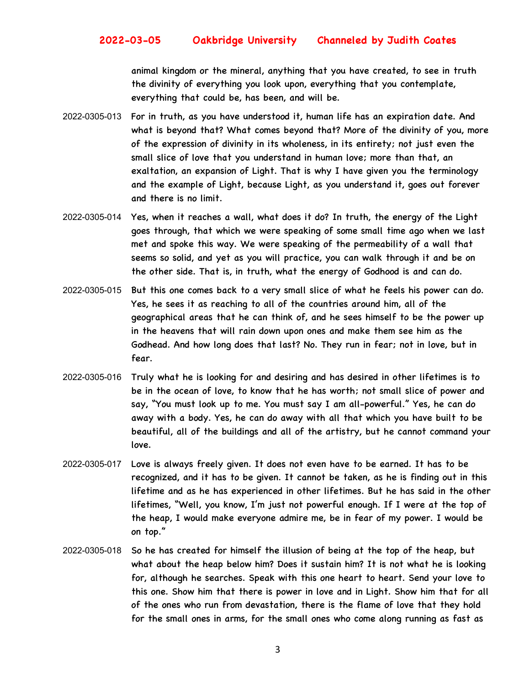animal kingdom or the mineral, anything that you have created, to see in truth the divinity of everything you look upon, everything that you contemplate, everything that could be, has been, and will be.

- 2022-0305-013 For in truth, as you have understood it, human life has an expiration date. And what is beyond that? What comes beyond that? More of the divinity of you, more of the expression of divinity in its wholeness, in its entirety; not just even the small slice of love that you understand in human love; more than that, an exaltation, an expansion of Light. That is why I have given you the terminology and the example of Light, because Light, as you understand it, goes out forever and there is no limit.
- 2022-0305-014 Yes, when it reaches a wall, what does it do? In truth, the energy of the Light goes through, that which we were speaking of some small time ago when we last met and spoke this way. We were speaking of the permeability of a wall that seems so solid, and yet as you will practice, you can walk through it and be on the other side. That is, in truth, what the energy of Godhood is and can do.
- 2022-0305-015 But this one comes back to a very small slice of what he feels his power can do. Yes, he sees it as reaching to all of the countries around him, all of the geographical areas that he can think of, and he sees himself to be the power up in the heavens that will rain down upon ones and make them see him as the Godhead. And how long does that last? No. They run in fear; not in love, but in fear.
- 2022-0305-016 Truly what he is looking for and desiring and has desired in other lifetimes is to be in the ocean of love, to know that he has worth; not small slice of power and say, "You must look up to me. You must say I am all-powerful." Yes, he can do away with a body. Yes, he can do away with all that which you have built to be beautiful, all of the buildings and all of the artistry, but he cannot command your love.
- 2022-0305-017 Love is always freely given. It does not even have to be earned. It has to be recognized, and it has to be given. It cannot be taken, as he is finding out in this lifetime and as he has experienced in other lifetimes. But he has said in the other lifetimes, "Well, you know, I'm just not powerful enough. If I were at the top of the heap, I would make everyone admire me, be in fear of my power. I would be on top."
- 2022-0305-018 So he has created for himself the illusion of being at the top of the heap, but what about the heap below him? Does it sustain him? It is not what he is looking for, although he searches. Speak with this one heart to heart. Send your love to this one. Show him that there is power in love and in Light. Show him that for all of the ones who run from devastation, there is the flame of love that they hold for the small ones in arms, for the small ones who come along running as fast as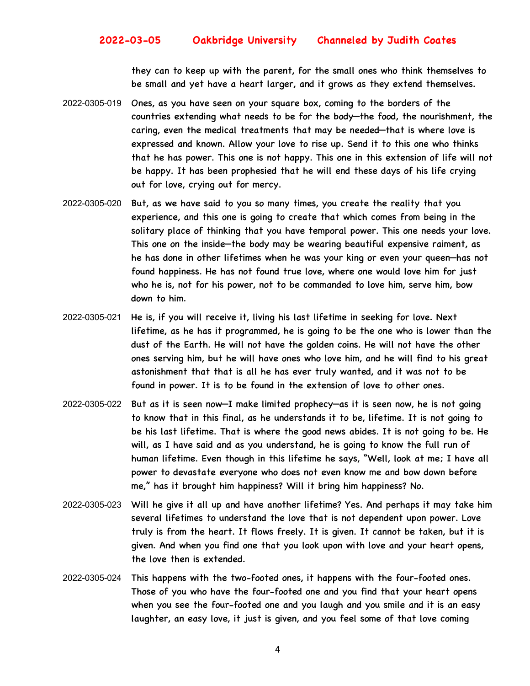they can to keep up with the parent, for the small ones who think themselves to be small and yet have a heart larger, and it grows as they extend themselves.

- 2022-0305-019 Ones, as you have seen on your square box, coming to the borders of the countries extending what needs to be for the body—the food, the nourishment, the caring, even the medical treatments that may be needed—that is where love is expressed and known. Allow your love to rise up. Send it to this one who thinks that he has power. This one is not happy. This one in this extension of life will not be happy. It has been prophesied that he will end these days of his life crying out for love, crying out for mercy.
- 2022-0305-020 But, as we have said to you so many times, you create the reality that you experience, and this one is going to create that which comes from being in the solitary place of thinking that you have temporal power. This one needs your love. This one on the inside—the body may be wearing beautiful expensive raiment, as he has done in other lifetimes when he was your king or even your queen—has not found happiness. He has not found true love, where one would love him for just who he is, not for his power, not to be commanded to love him, serve him, bow down to him.
- 2022-0305-021 He is, if you will receive it, living his last lifetime in seeking for love. Next lifetime, as he has it programmed, he is going to be the one who is lower than the dust of the Earth. He will not have the golden coins. He will not have the other ones serving him, but he will have ones who love him, and he will find to his great astonishment that that is all he has ever truly wanted, and it was not to be found in power. It is to be found in the extension of love to other ones.
- 2022-0305-022 But as it is seen now—I make limited prophecy—as it is seen now, he is not going to know that in this final, as he understands it to be, lifetime. It is not going to be his last lifetime. That is where the good news abides. It is not going to be. He will, as I have said and as you understand, he is going to know the full run of human lifetime. Even though in this lifetime he says, "Well, look at me; I have all power to devastate everyone who does not even know me and bow down before me," has it brought him happiness? Will it bring him happiness? No.
- 2022-0305-023 Will he give it all up and have another lifetime? Yes. And perhaps it may take him several lifetimes to understand the love that is not dependent upon power. Love truly is from the heart. It flows freely. It is given. It cannot be taken, but it is given. And when you find one that you look upon with love and your heart opens, the love then is extended.
- 2022-0305-024 This happens with the two-footed ones, it happens with the four-footed ones. Those of you who have the four-footed one and you find that your heart opens when you see the four-footed one and you laugh and you smile and it is an easy laughter, an easy love, it just is given, and you feel some of that love coming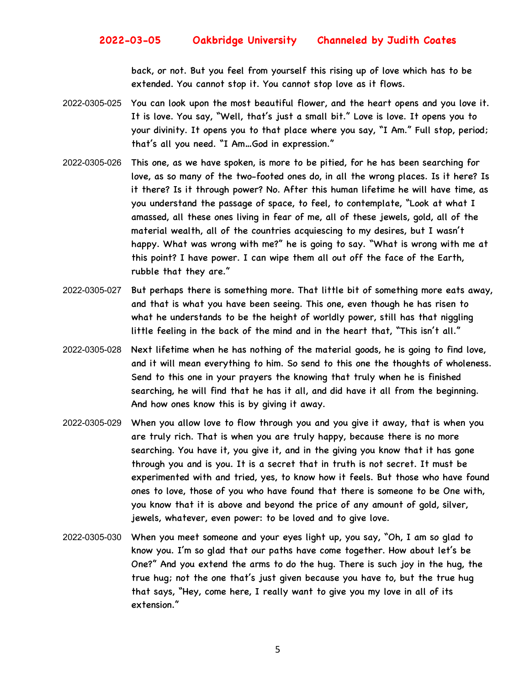back, or not. But you feel from yourself this rising up of love which has to be extended. You cannot stop it. You cannot stop love as it flows.

- 2022-0305-025 You can look upon the most beautiful flower, and the heart opens and you love it. It is love. You say, "Well, that's just a small bit." Love is love. It opens you to your divinity. It opens you to that place where you say, "I Am." Full stop, period; that's all you need. "I Am…God in expression."
- 2022-0305-026 This one, as we have spoken, is more to be pitied, for he has been searching for love, as so many of the two-footed ones do, in all the wrong places. Is it here? Is it there? Is it through power? No. After this human lifetime he will have time, as you understand the passage of space, to feel, to contemplate, "Look at what I amassed, all these ones living in fear of me, all of these jewels, gold, all of the material wealth, all of the countries acquiescing to my desires, but I wasn't happy. What was wrong with me?" he is going to say. "What is wrong with me at this point? I have power. I can wipe them all out off the face of the Earth, rubble that they are."
- 2022-0305-027 But perhaps there is something more. That little bit of something more eats away, and that is what you have been seeing. This one, even though he has risen to what he understands to be the height of worldly power, still has that niggling little feeling in the back of the mind and in the heart that, "This isn't all."
- 2022-0305-028 Next lifetime when he has nothing of the material goods, he is going to find love, and it will mean everything to him. So send to this one the thoughts of wholeness. Send to this one in your prayers the knowing that truly when he is finished searching, he will find that he has it all, and did have it all from the beginning. And how ones know this is by giving it away.
- 2022-0305-029 When you allow love to flow through you and you give it away, that is when you are truly rich. That is when you are truly happy, because there is no more searching. You have it, you give it, and in the giving you know that it has gone through you and is you. It is a secret that in truth is not secret. It must be experimented with and tried, yes, to know how it feels. But those who have found ones to love, those of you who have found that there is someone to be One with, you know that it is above and beyond the price of any amount of gold, silver, jewels, whatever, even power: to be loved and to give love.
- 2022-0305-030 When you meet someone and your eyes light up, you say, "Oh, I am so glad to know you. I'm so glad that our paths have come together. How about let's be One?" And you extend the arms to do the hug. There is such joy in the hug, the true hug; not the one that's just given because you have to, but the true hug that says, "Hey, come here, I really want to give you my love in all of its extension."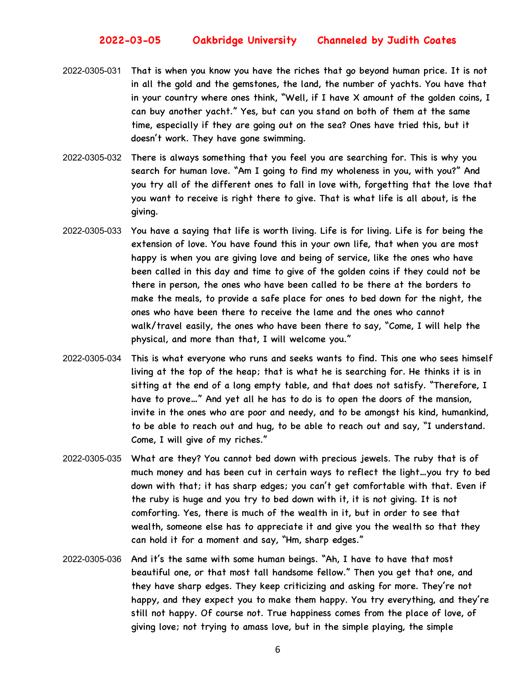- 2022-0305-031 That is when you know you have the riches that go beyond human price. It is not in all the gold and the gemstones, the land, the number of yachts. You have that in your country where ones think, "Well, if I have X amount of the golden coins, I can buy another yacht." Yes, but can you stand on both of them at the same time, especially if they are going out on the sea? Ones have tried this, but it doesn't work. They have gone swimming.
- 2022-0305-032 There is always something that you feel you are searching for. This is why you search for human love. "Am I going to find my wholeness in you, with you?" And you try all of the different ones to fall in love with, forgetting that the love that you want to receive is right there to give. That is what life is all about, is the giving.
- 2022-0305-033 You have a saying that life is worth living. Life is for living. Life is for being the extension of love. You have found this in your own life, that when you are most happy is when you are giving love and being of service, like the ones who have been called in this day and time to give of the golden coins if they could not be there in person, the ones who have been called to be there at the borders to make the meals, to provide a safe place for ones to bed down for the night, the ones who have been there to receive the lame and the ones who cannot walk/travel easily, the ones who have been there to say, "Come, I will help the physical, and more than that, I will welcome you."
- 2022-0305-034 This is what everyone who runs and seeks wants to find. This one who sees himself living at the top of the heap; that is what he is searching for. He thinks it is in sitting at the end of a long empty table, and that does not satisfy. "Therefore, I have to prove…" And yet all he has to do is to open the doors of the mansion, invite in the ones who are poor and needy, and to be amongst his kind, humankind, to be able to reach out and hug, to be able to reach out and say, "I understand. Come, I will give of my riches."
- 2022-0305-035 What are they? You cannot bed down with precious jewels. The ruby that is of much money and has been cut in certain ways to reflect the light…you try to bed down with that; it has sharp edges; you can't get comfortable with that. Even if the ruby is huge and you try to bed down with it, it is not giving. It is not comforting. Yes, there is much of the wealth in it, but in order to see that wealth, someone else has to appreciate it and give you the wealth so that they can hold it for a moment and say, "Hm, sharp edges."
- 2022-0305-036 And it's the same with some human beings. "Ah, I have to have that most beautiful one, or that most tall handsome fellow." Then you get that one, and they have sharp edges. They keep criticizing and asking for more. They're not happy, and they expect you to make them happy. You try everything, and they're still not happy. Of course not. True happiness comes from the place of love, of giving love; not trying to amass love, but in the simple playing, the simple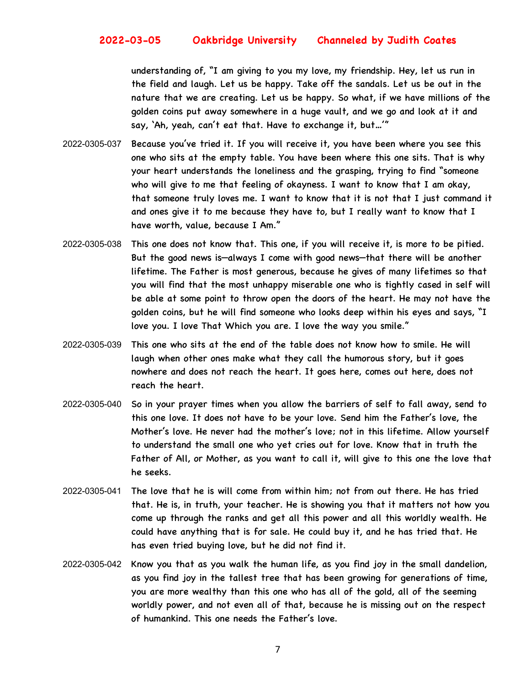understanding of, "I am giving to you my love, my friendship. Hey, let us run in the field and laugh. Let us be happy. Take off the sandals. Let us be out in the nature that we are creating. Let us be happy. So what, if we have millions of the golden coins put away somewhere in a huge vault, and we go and look at it and say, 'Ah, yeah, can't eat that. Have to exchange it, but…'"

- 2022-0305-037 Because you've tried it. If you will receive it, you have been where you see this one who sits at the empty table. You have been where this one sits. That is why your heart understands the loneliness and the grasping, trying to find "someone who will give to me that feeling of okayness. I want to know that I am okay, that someone truly loves me. I want to know that it is not that I just command it and ones give it to me because they have to, but I really want to know that I have worth, value, because I Am."
- 2022-0305-038 This one does not know that. This one, if you will receive it, is more to be pitied. But the good news is—always I come with good news—that there will be another lifetime. The Father is most generous, because he gives of many lifetimes so that you will find that the most unhappy miserable one who is tightly cased in self will be able at some point to throw open the doors of the heart. He may not have the golden coins, but he will find someone who looks deep within his eyes and says, "I love you. I love That Which you are. I love the way you smile."
- 2022-0305-039 This one who sits at the end of the table does not know how to smile. He will laugh when other ones make what they call the humorous story, but it goes nowhere and does not reach the heart. It goes here, comes out here, does not reach the heart.
- 2022-0305-040 So in your prayer times when you allow the barriers of self to fall away, send to this one love. It does not have to be your love. Send him the Father's love, the Mother's love. He never had the mother's love; not in this lifetime. Allow yourself to understand the small one who yet cries out for love. Know that in truth the Father of All, or Mother, as you want to call it, will give to this one the love that he seeks.
- 2022-0305-041 The love that he is will come from within him; not from out there. He has tried that. He is, in truth, your teacher. He is showing you that it matters not how you come up through the ranks and get all this power and all this worldly wealth. He could have anything that is for sale. He could buy it, and he has tried that. He has even tried buying love, but he did not find it.
- 2022-0305-042 Know you that as you walk the human life, as you find joy in the small dandelion, as you find joy in the tallest tree that has been growing for generations of time, you are more wealthy than this one who has all of the gold, all of the seeming worldly power, and not even all of that, because he is missing out on the respect of humankind. This one needs the Father's love.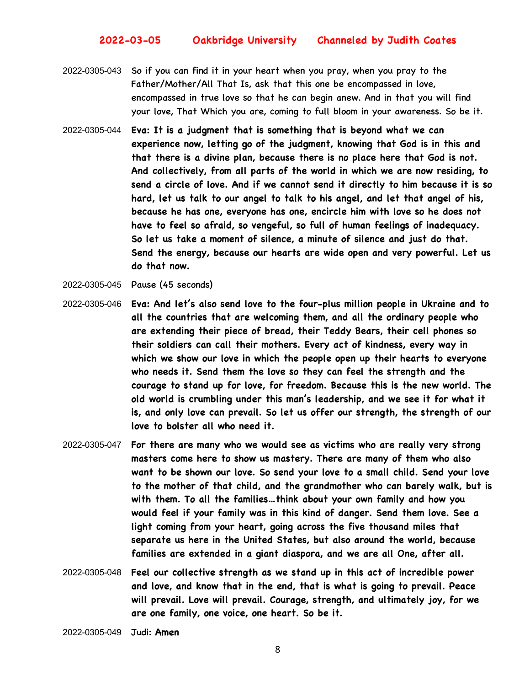- 2022-0305-043 So if you can find it in your heart when you pray, when you pray to the Father/Mother/All That Is, ask that this one be encompassed in love, encompassed in true love so that he can begin anew. And in that you will find your love, That Which you are, coming to full bloom in your awareness. So be it.
- 2022-0305-044 **Eva: It is a judgment that is something that is beyond what we can experience now, letting go of the judgment, knowing that God is in this and that there is a divine plan, because there is no place here that God is not. And collectively, from all parts of the world in which we are now residing, to send a circle of love. And if we cannot send it directly to him because it is so hard, let us talk to our angel to talk to his angel, and let that angel of his, because he has one, everyone has one, encircle him with love so he does not have to feel so afraid, so vengeful, so full of human feelings of inadequacy. So let us take a moment of silence, a minute of silence and just do that. Send the energy, because our hearts are wide open and very powerful. Let us do that now.**
- 2022-0305-045 Pause (45 seconds)
- 2022-0305-046 **Eva: And let's also send love to the four-plus million people in Ukraine and to all the countries that are welcoming them, and all the ordinary people who are extending their piece of bread, their Teddy Bears, their cell phones so their soldiers can call their mothers. Every act of kindness, every way in which we show our love in which the people open up their hearts to everyone who needs it. Send them the love so they can feel the strength and the courage to stand up for love, for freedom. Because this is the new world. The old world is crumbling under this man's leadership, and we see it for what it is, and only love can prevail. So let us offer our strength, the strength of our love to bolster all who need it.**
- 2022-0305-047 **For there are many who we would see as victims who are really very strong masters come here to show us mastery. There are many of them who also want to be shown our love. So send your love to a small child. Send your love to the mother of that child, and the grandmother who can barely walk, but is with them. To all the families…think about your own family and how you would feel if your family was in this kind of danger. Send them love. See a light coming from your heart, going across the five thousand miles that separate us here in the United States, but also around the world, because families are extended in a giant diaspora, and we are all One, after all.**
- 2022-0305-048 **Feel our collective strength as we stand up in this act of incredible power and love, and know that in the end, that is what is going to prevail. Peace will prevail. Love will prevail. Courage, strength, and ultimately joy, for we are one family, one voice, one heart. So be it.**

2022-0305-049 Judi: **Amen**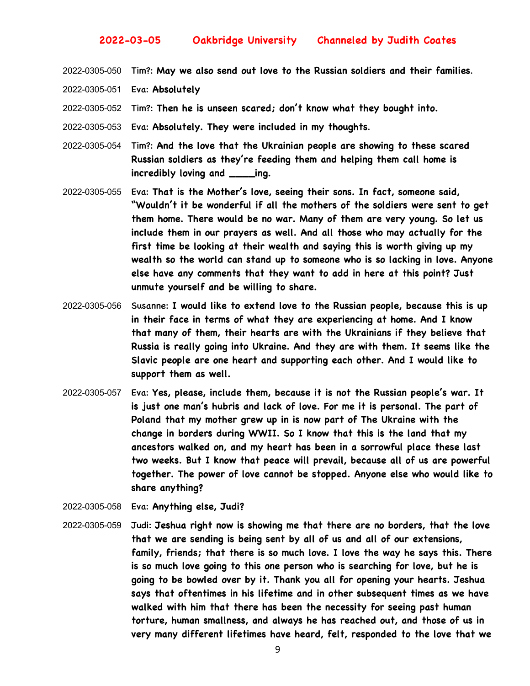2022-0305-050 Tim?: **May we also send out love to the Russian soldiers and their families**.

- 2022-0305-051 Eva: **Absolutely**
- 2022-0305-052 Tim?: **Then he is unseen scared; don't know what they bought into.**
- 2022-0305-053 Eva: **Absolutely. They were included in my thoughts**.
- 2022-0305-054 Tim?: **And the love that the Ukrainian people are showing to these scared Russian soldiers as they're feeding them and helping them call home is incredibly loving and \_\_\_\_ing.**
- 2022-0305-055 Eva: **That is the Mother's love, seeing their sons. In fact, someone said, "Wouldn't it be wonderful if all the mothers of the soldiers were sent to get them home. There would be no war. Many of them are very young. So let us include them in our prayers as well. And all those who may actually for the first time be looking at their wealth and saying this is worth giving up my wealth so the world can stand up to someone who is so lacking in love. Anyone else have any comments that they want to add in here at this point? Just unmute yourself and be willing to share.**
- 2022-0305-056 Susanne: **I would like to extend love to the Russian people, because this is up in their face in terms of what they are experiencing at home. And I know that many of them, their hearts are with the Ukrainians if they believe that Russia is really going into Ukraine. And they are with them. It seems like the Slavic people are one heart and supporting each other. And I would like to support them as well.**
- 2022-0305-057 Eva: **Yes, please, include them, because it is not the Russian people's war. It is just one man's hubris and lack of love. For me it is personal. The part of Poland that my mother grew up in is now part of The Ukraine with the change in borders during WWII. So I know that this is the land that my ancestors walked on, and my heart has been in a sorrowful place these last two weeks. But I know that peace will prevail, because all of us are powerful together. The power of love cannot be stopped. Anyone else who would like to share anything?**
- 2022-0305-058 Eva: **Anything else, Judi?**
- 2022-0305-059 Judi: **Jeshua right now is showing me that there are no borders, that the love that we are sending is being sent by all of us and all of our extensions, family, friends; that there is so much love. I love the way he says this. There is so much love going to this one person who is searching for love, but he is going to be bowled over by it. Thank you all for opening your hearts. Jeshua says that oftentimes in his lifetime and in other subsequent times as we have walked with him that there has been the necessity for seeing past human torture, human smallness, and always he has reached out, and those of us in very many different lifetimes have heard, felt, responded to the love that we**